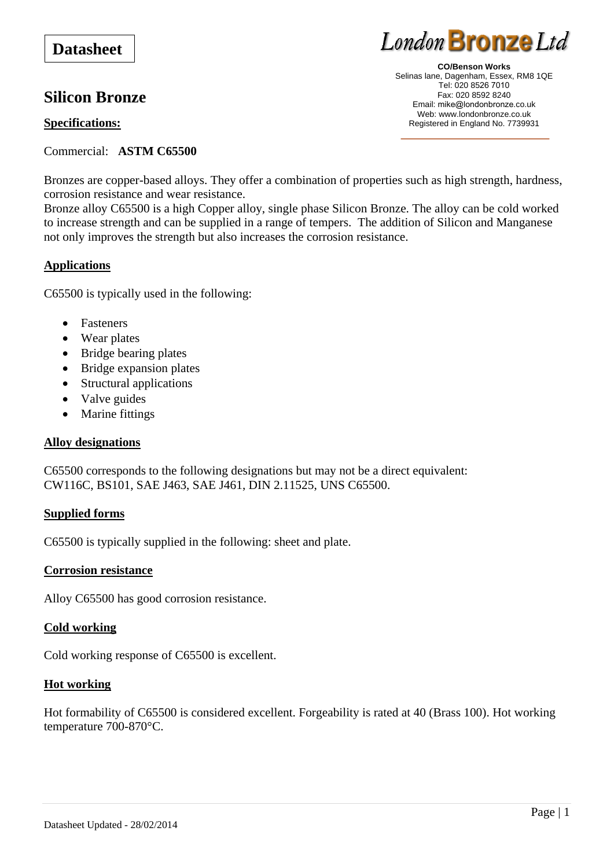# **Silicon Bronze**

# **Specifications:**

Commercial: **ASTM C65500**

Bronzes are copper-based alloys. They offer a combination of properties such as high strength, hardness, corrosion resistance and wear resistance.

Bronze alloy C65500 is a high Copper alloy, single phase Silicon Bronze. The alloy can be cold worked to increase strength and can be supplied in a range of tempers. The addition of Silicon and Manganese not only improves the strength but also increases the corrosion resistance.

# **Applications**

C65500 is typically used in the following:

- Fasteners
- Wear plates
- Bridge bearing plates
- Bridge expansion plates
- Structural applications
- Valve guides
- Marine fittings

## **Alloy designations**

C65500 corresponds to the following designations but may not be a direct equivalent: CW116C, BS101, SAE J463, SAE J461, DIN 2.11525, UNS C65500.

## **Supplied forms**

C65500 is typically supplied in the following: sheet and plate.

## **Corrosion resistance**

Alloy C65500 has good corrosion resistance.

## **Cold working**

Cold working response of C65500 is excellent.

## **Hot working**

Hot formability of C65500 is considered excellent. Forgeability is rated at 40 (Brass 100). Hot working temperature 700-870°C.

**CO/Benson Works**  Selinas lane, Dagenham, Essex, RM8 1QE Tel: 020 8526 7010 Fax: 020 8592 8240 Email: mike@londonbronze.co.uk Web: www.londonbronze.co.uk Registered in England No. 7739931

London Bronze Ltd